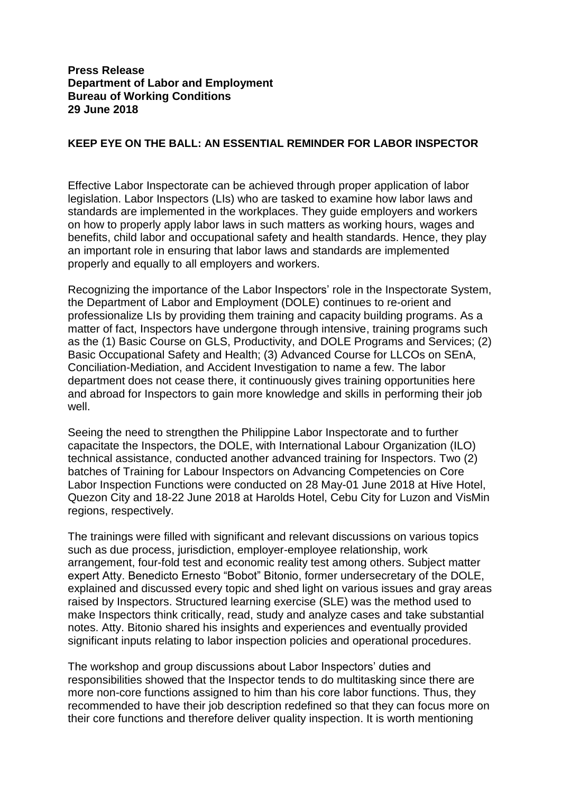## **KEEP EYE ON THE BALL: AN ESSENTIAL REMINDER FOR LABOR INSPECTOR**

Effective Labor Inspectorate can be achieved through proper application of labor legislation. Labor Inspectors (LIs) who are tasked to examine how labor laws and standards are implemented in the workplaces. They guide employers and workers on how to properly apply labor laws in such matters as working hours, wages and benefits, child labor and occupational safety and health standards. Hence, they play an important role in ensuring that labor laws and standards are implemented properly and equally to all employers and workers.

Recognizing the importance of the Labor Inspectors' role in the Inspectorate System, the Department of Labor and Employment (DOLE) continues to re-orient and professionalize LIs by providing them training and capacity building programs. As a matter of fact, Inspectors have undergone through intensive, training programs such as the (1) Basic Course on GLS, Productivity, and DOLE Programs and Services; (2) Basic Occupational Safety and Health; (3) Advanced Course for LLCOs on SEnA, Conciliation-Mediation, and Accident Investigation to name a few. The labor department does not cease there, it continuously gives training opportunities here and abroad for Inspectors to gain more knowledge and skills in performing their job well.

Seeing the need to strengthen the Philippine Labor Inspectorate and to further capacitate the Inspectors, the DOLE, with International Labour Organization (ILO) technical assistance, conducted another advanced training for Inspectors. Two (2) batches of Training for Labour Inspectors on Advancing Competencies on Core Labor Inspection Functions were conducted on 28 May-01 June 2018 at Hive Hotel, Quezon City and 18-22 June 2018 at Harolds Hotel, Cebu City for Luzon and VisMin regions, respectively.

The trainings were filled with significant and relevant discussions on various topics such as due process, jurisdiction, employer-employee relationship, work arrangement, four-fold test and economic reality test among others. Subject matter expert Atty. Benedicto Ernesto "Bobot" Bitonio, former undersecretary of the DOLE, explained and discussed every topic and shed light on various issues and gray areas raised by Inspectors. Structured learning exercise (SLE) was the method used to make Inspectors think critically, read, study and analyze cases and take substantial notes. Atty. Bitonio shared his insights and experiences and eventually provided significant inputs relating to labor inspection policies and operational procedures.

The workshop and group discussions about Labor Inspectors' duties and responsibilities showed that the Inspector tends to do multitasking since there are more non-core functions assigned to him than his core labor functions. Thus, they recommended to have their job description redefined so that they can focus more on their core functions and therefore deliver quality inspection. It is worth mentioning